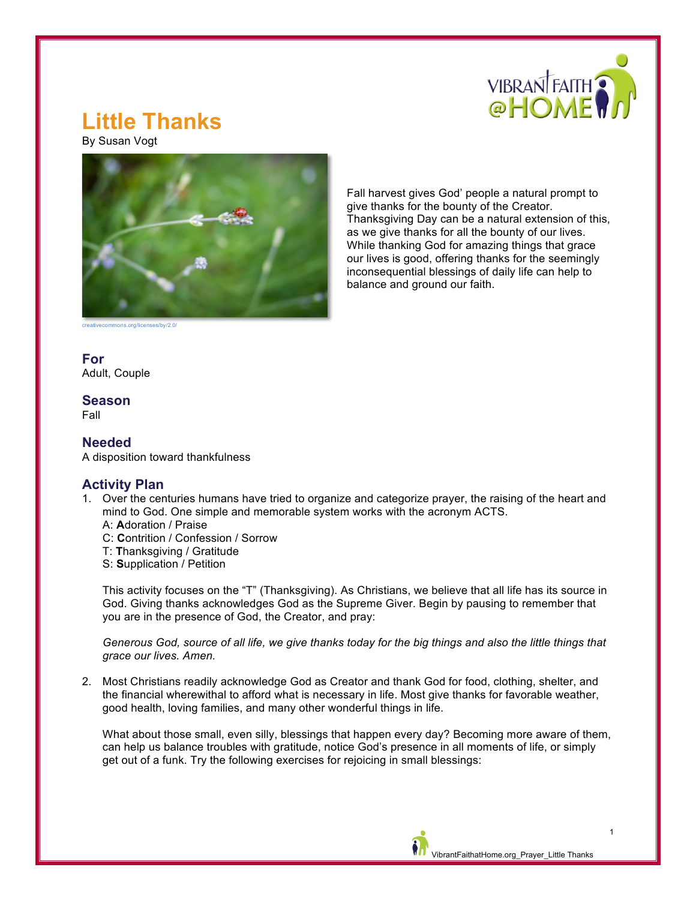

# **Little Thanks**

By Susan Vogt



Fall harvest gives God' people a natural prompt to give thanks for the bounty of the Creator. Thanksgiving Day can be a natural extension of this, as we give thanks for all the bounty of our lives. While thanking God for amazing things that grace our lives is good, offering thanks for the seemingly inconsequential blessings of daily life can help to balance and ground our faith.

ns.org/licenses/by/2.0

**For** Adult, Couple

## **Season**

Fall

## **Needed**

A disposition toward thankfulness

### **Activity Plan**

- 1. Over the centuries humans have tried to organize and categorize prayer, the raising of the heart and mind to God. One simple and memorable system works with the acronym ACTS.
	- A: **A**doration / Praise
	- C: **C**ontrition / Confession / Sorrow
	- T: **T**hanksgiving / Gratitude
	- S: **S**upplication / Petition

This activity focuses on the "T" (Thanksgiving). As Christians, we believe that all life has its source in God. Giving thanks acknowledges God as the Supreme Giver. Begin by pausing to remember that you are in the presence of God, the Creator, and pray:

*Generous God, source of all life, we give thanks today for the big things and also the little things that grace our lives. Amen.*

2. Most Christians readily acknowledge God as Creator and thank God for food, clothing, shelter, and the financial wherewithal to afford what is necessary in life. Most give thanks for favorable weather, good health, loving families, and many other wonderful things in life.

What about those small, even silly, blessings that happen every day? Becoming more aware of them, can help us balance troubles with gratitude, notice God's presence in all moments of life, or simply get out of a funk. Try the following exercises for rejoicing in small blessings: